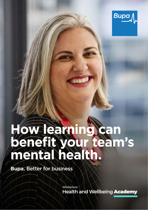

# **How learning can beneft your team's mental health.**

**Bupa.** Better for business

Workplace Health and Wellbeing Academy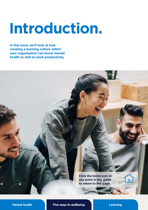# **Introduction.**

**In this issue, we'll look at how creating a learning culture within your organisation can boost mental health as well as work productivity.** 

> **Click the home icon at any point in this guide to return to this page.**

**[Mental health](#page-2-0) [Five ways to wellbeing](#page-5-0) [Learning](#page-6-0)** 

 $\sqrt{n}$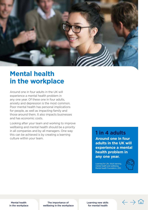<span id="page-2-0"></span>

## **Mental health in the workplace**

Around one in four adults in the UK will experience a mental health problem in any one year. Of these one in four adults, anxiety and depression is the most common. Poor mental health has personal implications for people, as well as impacting family and those around them. It also impacts businesses and has economic costs.

Looking after your team and working to improve wellbeing and mental health should be a priority in all companies and by all managers. One way this can be achieved is by creating a learning culture within your team.

**1 in 4 adults Around one in four adults in the UK will experience a mental health problem in any one year.** 

Learning for Life. Adult learning, mental health and wellbeing. Mental Health Foundation, 2011.



 $\leftarrow$  .

Mental health in the workplace

The importance of [wellbeing in the workplace](#page-3-0)  [Learning new skills](#page-4-0)  for mental health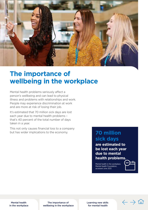<span id="page-3-0"></span>

## **The importance of wellbeing in the workplace**

Mental health problems seriously affect a person's wellbeing and can lead to physical illness and problems with relationships and work. People may experience discrimination at work and are more at risk of losing their job.

It's estimated that 70 million sick days are lost each year due to mental health problems – that's 40 percent of the total number of days taken in a year.

This not only causes financial loss to a company but has wider implications to the economy. **70 million** 

## **sick days**

**are estimated to be lost each year due to mental health problems.** 

Mental health in the workplace. Mental Health Foundation. accessed June 2021.

Mental health [in the workplace](#page-2-0) 

The importance of wellbeing in the workplace [Learning new skills](#page-4-0)  for mental health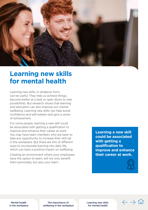<span id="page-4-0"></span>

### **Learning new skills for mental health**

Learning new skills, in whatever form, can be useful. They help us achieve things, become better at a task or open doors to new possibilities. But research shows that learning and education can also improve our mental wellbeing. Learning new skills can help boost confidence and self-esteem and give a sense of achievement.

For some people, learning a new skill could be associated with getting a qualification to improve and enhance their career at work. You may have team members who are keen to take any opportunity to increase their skill set in the workplace. But there are lots of different ways to incorporate learning into daily life, which can have a positive impact on wellbeing.

Creating an environment where your employees have the option to learn, will not only benefit them personally, but also your team.

**Learning a new skill could be associated with getting a qualification to improve and enhance their career at work.** 



Mental health [in the workplace](#page-2-0) 

The importance of [wellbeing in the workplace](#page-3-0)  Learning new skills for mental health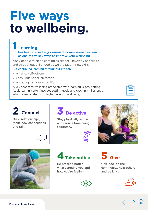# <span id="page-5-0"></span>**Five ways to wellbeing.**

#### **1 Learning**  has been classed in government-commissioned research as one of five key ways to improve your wellbeing

Many people think of learning as school, university or college, and throughout childhood as we are taught new skills.

#### But continued learning throughout life can:

- $\blacksquare$  enhance self-esteem
- $\blacksquare$  encourage social interaction
- $\blacksquare$  encourage a more active life

A key aspect to wellbeing associated with learning is goal setting. Adult learning often involves setting goals and reaching milestones, which is associated with higher levels of wellbeing.

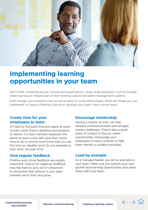<span id="page-6-0"></span>

## **Implementing learning opportunities in your team**

Don't think of learning as just courses and qualifications. Large-scale employers, such as Google, make learning an integral part of their working culture and talent management systems.

Even though your business may not be as large (in scale and budget), there are things you can implement to create a learning culture to develop your team. Here's some ideas.

#### **Create time for your employees to learn**

It's hard to find both time and space at work to learn when there's deadlines and projects to deliver. If a team member expresses the desire to learn a new skill, give them some time to do so and let them know that you see this time as valuable work (ie, not separate to their work, but part of it).

#### **Give regular feedback**

Positive and critical feedback are equally important. Critical (or negative) feedback may feel hard to give, but it's important to remember that without it, your team member won't learn and grow.

#### **Encourage mentorship**

Having a mentor at work can help develop professional skills and navigate certain challenges. They're also a great point of contact to discuss career opportunities. Encourage your employees to have a mentor or help them identify a suitable individual.

#### **Lead by example**

As a manager/leader, you set an example to your team. Make sure you explore your own growth and learning opportunities and share these with your team.

Implementing learning

ementing learning<br>opportunities **Informal vs formal learning** Creating a learning culture

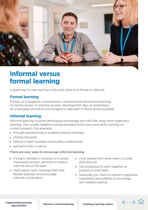<span id="page-7-0"></span>

## **Informal versus formal learning**

A good way to view learning in the work place is as formal or informal.

#### **Formal learning**

Formal, as it suggests, encompasses organised and structured learning; so having access to training courses, development days or workshops. All employees should be encouraged to take part in these where possible.

#### **Informal learning**

Informal learning involves developing knowledge and skill sets away from organised learning. This usually happens during standard work hours and while working on current projects. For example:

- **In through brainstorming or problem-solving meetings**
- $\blacksquare$  sharing resources
- $\blacksquare$  talking to team members and building relationships
- $\blacksquare$  asking for help or advice

#### There are easy ways to encourage informal learning

- $\blacksquare$  If a team member is working on a certain stand-alone project, ask them to share it with the rest of the team
- **Hold regular team meetings that have** fexible agendas and encourage informal conversation
- Invite people from other teams to share what they do
- Ask employees to work together on projects in small team
- Subscribe your team to relevant magazines, newsletters and bulletins to encourage self-initiated reading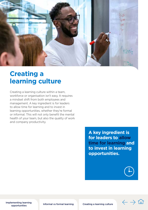<span id="page-8-0"></span>

## **Creating a learning culture**

Creating a learning culture within a team, workforce or organisation isn't easy. It requires a mindset shift from both employees and management. A key ingredient is for leaders to allow time for learning and to invest in learning opportunities, whether they're formal or informal. This will not only benefit the mental health of your team, but also the quality of work and company productivity.

> **A key ingredient is for leaders to allow time for learning and to invest in learning opportunities.**

[Implementing learning](#page-6-0) 

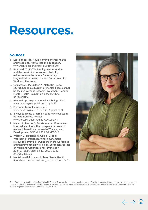## **Resources.**

#### **Sources**

- 1. Learning for life. Adult learning, mental health and wellbeing. Mental Health Foundation. [www.mentalhealth.org.uk,](www.mentalhealth.org.uk) published 2011
- 2. Burchardt T (2003). Employment retention and the onset of sickness and disability: evidence from the labour force survey longitudinal datasets. London: Department for Work and Pensions.
- 3. Cyhlarova E, McCulloch A, McGuffin P, et al (2010). Economic burden of mental illness cannot be tackled without research investment. London: Mental Health Foundation & the Institute of Psychiatry.
- 4. How to improve your mental wellbeing. Mind. [www.mind.org.uk,](https://www.mind.org.uk/) published July 2016
- 5. Five ways to wellbeing. Mind. [www.mind.org.uk,](https://www.mind.org.uk/) accessed 20 August 2019
- 6. 4 ways to create a learning culture in your team. Harvard Business Review. [www.hbr.org](https://hbr.org/), published 22 August 2019
- 7. Manuti A, Pastore S, Fausta A, et al. Formal and informal learning in the workplace: a research review. International Journal of Training and Development, 2015. doi: 10.1111/ijtd.12044
- of Work and Organizational Psychology 8. Watson D, Tregaskis O, Gedikli C, et al. Well-being through learning: a systematic review of learning interventions in the workplace and their impact on well-being. European Journal 2018; 27(2):247-268. doi:10.1080/135943 2X.2018.1435529
- 9. Mental health in the workplace. Mental Health Foundation. [mentalhealth.org,](https://mentalhealth.org) accessed June 2021.



This information was published by Bupa's Health Content Team and is based on reputable sources of medical evidence. It has been reviewed by appropriate medical or clinical professionals. The information is not intended nor implied to be a substitute for professional medical advice nor is it intended to be for medical diagnosis or treatment. Published October 2019.